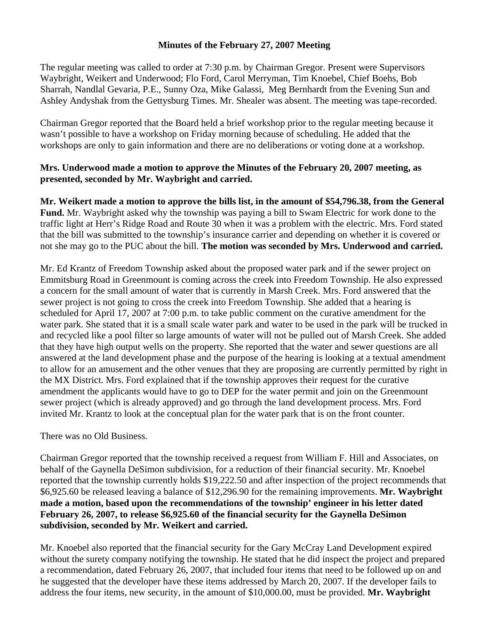## **Minutes of the February 27, 2007 Meeting**

The regular meeting was called to order at 7:30 p.m. by Chairman Gregor. Present were Supervisors Waybright, Weikert and Underwood; Flo Ford, Carol Merryman, Tim Knoebel, Chief Boehs, Bob Sharrah, Nandlal Gevaria, P.E., Sunny Oza, Mike Galassi, Meg Bernhardt from the Evening Sun and Ashley Andyshak from the Gettysburg Times. Mr. Shealer was absent. The meeting was tape-recorded.

Chairman Gregor reported that the Board held a brief workshop prior to the regular meeting because it wasn't possible to have a workshop on Friday morning because of scheduling. He added that the workshops are only to gain information and there are no deliberations or voting done at a workshop.

## **Mrs. Underwood made a motion to approve the Minutes of the February 20, 2007 meeting, as presented, seconded by Mr. Waybright and carried.**

**Mr. Weikert made a motion to approve the bills list, in the amount of \$54,796.38, from the General Fund.** Mr. Waybright asked why the township was paying a bill to Swam Electric for work done to the traffic light at Herr's Ridge Road and Route 30 when it was a problem with the electric. Mrs. Ford stated that the bill was submitted to the township's insurance carrier and depending on whether it is covered or not she may go to the PUC about the bill. **The motion was seconded by Mrs. Underwood and carried.** 

Mr. Ed Krantz of Freedom Township asked about the proposed water park and if the sewer project on Emmitsburg Road in Greenmount is coming across the creek into Freedom Township. He also expressed a concern for the small amount of water that is currently in Marsh Creek. Mrs. Ford answered that the sewer project is not going to cross the creek into Freedom Township. She added that a hearing is scheduled for April 17, 2007 at 7:00 p.m. to take public comment on the curative amendment for the water park. She stated that it is a small scale water park and water to be used in the park will be trucked in and recycled like a pool filter so large amounts of water will not be pulled out of Marsh Creek. She added that they have high output wells on the property. She reported that the water and sewer questions are all answered at the land development phase and the purpose of the hearing is looking at a textual amendment to allow for an amusement and the other venues that they are proposing are currently permitted by right in the MX District. Mrs. Ford explained that if the township approves their request for the curative amendment the applicants would have to go to DEP for the water permit and join on the Greenmount sewer project (which is already approved) and go through the land development process. Mrs. Ford invited Mr. Krantz to look at the conceptual plan for the water park that is on the front counter.

## There was no Old Business.

Chairman Gregor reported that the township received a request from William F. Hill and Associates, on behalf of the Gaynella DeSimon subdivision, for a reduction of their financial security. Mr. Knoebel reported that the township currently holds \$19,222.50 and after inspection of the project recommends that \$6,925.60 be released leaving a balance of \$12,296.90 for the remaining improvements. **Mr. Waybright made a motion, based upon the recommendations of the township' engineer in his letter dated February 26, 2007, to release \$6,925.60 of the financial security for the Gaynella DeSimon subdivision, seconded by Mr. Weikert and carried.** 

Mr. Knoebel also reported that the financial security for the Gary McCray Land Development expired without the surety company notifying the township. He stated that he did inspect the project and prepared a recommendation, dated February 26, 2007, that included four items that need to be followed up on and he suggested that the developer have these items addressed by March 20, 2007. If the developer fails to address the four items, new security, in the amount of \$10,000.00, must be provided. **Mr. Waybright**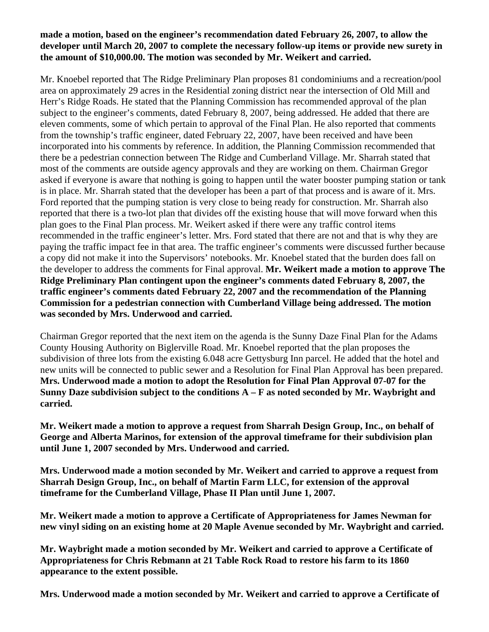## **made a motion, based on the engineer's recommendation dated February 26, 2007, to allow the developer until March 20, 2007 to complete the necessary follow-up items or provide new surety in the amount of \$10,000.00. The motion was seconded by Mr. Weikert and carried.**

Mr. Knoebel reported that The Ridge Preliminary Plan proposes 81 condominiums and a recreation/pool area on approximately 29 acres in the Residential zoning district near the intersection of Old Mill and Herr's Ridge Roads. He stated that the Planning Commission has recommended approval of the plan subject to the engineer's comments, dated February 8, 2007, being addressed. He added that there are eleven comments, some of which pertain to approval of the Final Plan. He also reported that comments from the township's traffic engineer, dated February 22, 2007, have been received and have been incorporated into his comments by reference. In addition, the Planning Commission recommended that there be a pedestrian connection between The Ridge and Cumberland Village. Mr. Sharrah stated that most of the comments are outside agency approvals and they are working on them. Chairman Gregor asked if everyone is aware that nothing is going to happen until the water booster pumping station or tank is in place. Mr. Sharrah stated that the developer has been a part of that process and is aware of it. Mrs. Ford reported that the pumping station is very close to being ready for construction. Mr. Sharrah also reported that there is a two-lot plan that divides off the existing house that will move forward when this plan goes to the Final Plan process. Mr. Weikert asked if there were any traffic control items recommended in the traffic engineer's letter. Mrs. Ford stated that there are not and that is why they are paying the traffic impact fee in that area. The traffic engineer's comments were discussed further because a copy did not make it into the Supervisors' notebooks. Mr. Knoebel stated that the burden does fall on the developer to address the comments for Final approval. **Mr. Weikert made a motion to approve The Ridge Preliminary Plan contingent upon the engineer's comments dated February 8, 2007, the traffic engineer's comments dated February 22, 2007 and the recommendation of the Planning Commission for a pedestrian connection with Cumberland Village being addressed. The motion was seconded by Mrs. Underwood and carried.** 

Chairman Gregor reported that the next item on the agenda is the Sunny Daze Final Plan for the Adams County Housing Authority on Biglerville Road. Mr. Knoebel reported that the plan proposes the subdivision of three lots from the existing 6.048 acre Gettysburg Inn parcel. He added that the hotel and new units will be connected to public sewer and a Resolution for Final Plan Approval has been prepared. **Mrs. Underwood made a motion to adopt the Resolution for Final Plan Approval 07-07 for the Sunny Daze subdivision subject to the conditions A – F as noted seconded by Mr. Waybright and carried.** 

**Mr. Weikert made a motion to approve a request from Sharrah Design Group, Inc., on behalf of George and Alberta Marinos, for extension of the approval timeframe for their subdivision plan until June 1, 2007 seconded by Mrs. Underwood and carried.** 

**Mrs. Underwood made a motion seconded by Mr. Weikert and carried to approve a request from Sharrah Design Group, Inc., on behalf of Martin Farm LLC, for extension of the approval timeframe for the Cumberland Village, Phase II Plan until June 1, 2007.** 

**Mr. Weikert made a motion to approve a Certificate of Appropriateness for James Newman for new vinyl siding on an existing home at 20 Maple Avenue seconded by Mr. Waybright and carried.** 

**Mr. Waybright made a motion seconded by Mr. Weikert and carried to approve a Certificate of Appropriateness for Chris Rebmann at 21 Table Rock Road to restore his farm to its 1860 appearance to the extent possible.** 

**Mrs. Underwood made a motion seconded by Mr. Weikert and carried to approve a Certificate of**